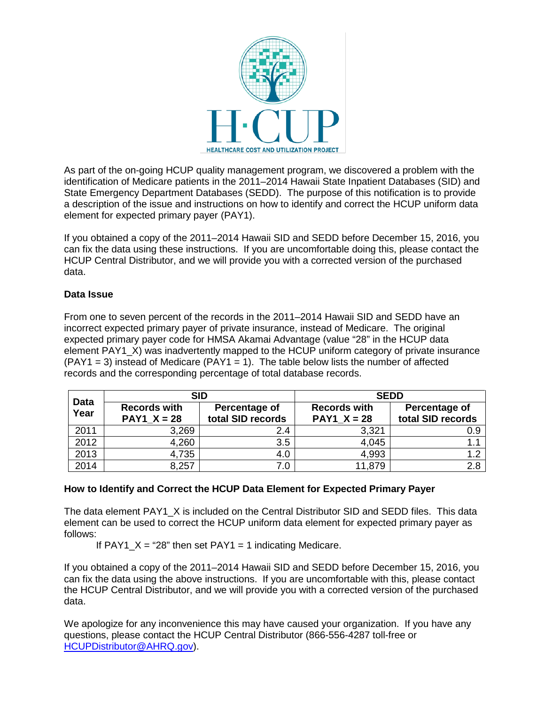

As part of the on-going HCUP quality management program, we discovered a problem with the identification of Medicare patients in the 2011–2014 Hawaii State Inpatient Databases (SID) and State Emergency Department Databases (SEDD). The purpose of this notification is to provide a description of the issue and instructions on how to identify and correct the HCUP uniform data element for expected primary payer (PAY1).

If you obtained a copy of the 2011–2014 Hawaii SID and SEDD before December 15, 2016, you can fix the data using these instructions. If you are uncomfortable doing this, please contact the HCUP Central Distributor, and we will provide you with a corrected version of the purchased data.

## **Data Issue**

From one to seven percent of the records in the 2011–2014 Hawaii SID and SEDD have an incorrect expected primary payer of private insurance, instead of Medicare. The original expected primary payer code for HMSA Akamai Advantage (value "28" in the HCUP data element PAY1\_X) was inadvertently mapped to the HCUP uniform category of private insurance  $(PAY1 = 3)$  instead of Medicare  $(PAY1 = 1)$ . The table below lists the number of affected records and the corresponding percentage of total database records.

| <b>Data</b><br>Year | <b>SID</b>                                             |                                    | <b>SEDD</b>                            |                                    |
|---------------------|--------------------------------------------------------|------------------------------------|----------------------------------------|------------------------------------|
|                     | <b>Records with</b><br><b>PAY1 <math>X = 28</math></b> | Percentage of<br>total SID records | <b>Records with</b><br>$PAY1$ $X = 28$ | Percentage of<br>total SID records |
| 2011                | 3,269                                                  | 2.4                                | 3,321                                  | 0.9                                |
| 2012                | 4,260                                                  | 3.5                                | 4,045                                  |                                    |
| 2013                | 4,735                                                  | 4.0                                | 4,993                                  |                                    |
| 2014                | 8,257                                                  | 7.0                                | 11,879                                 | 2.8                                |

## **How to Identify and Correct the HCUP Data Element for Expected Primary Payer**

The data element PAY1\_X is included on the Central Distributor SID and SEDD files. This data element can be used to correct the HCUP uniform data element for expected primary payer as follows:

If  $PAY1_X = "28"$  then set  $PAY1 = 1$  indicating Medicare.

If you obtained a copy of the 2011–2014 Hawaii SID and SEDD before December 15, 2016, you can fix the data using the above instructions. If you are uncomfortable with this, please contact the HCUP Central Distributor, and we will provide you with a corrected version of the purchased data.

We apologize for any inconvenience this may have caused your organization. If you have any questions, please contact the HCUP Central Distributor (866-556-4287 toll-free or [HCUPDistributor@AHRQ.gov\)](mailto:HCUPDistributor@AHRQ.gov).